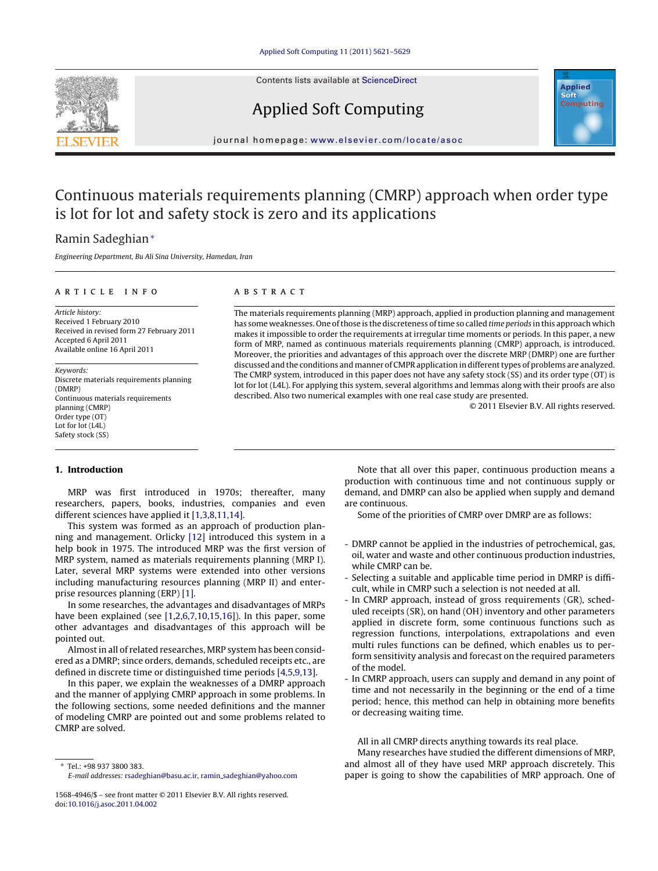

Contents lists available at [ScienceDirect](http://www.sciencedirect.com/science/journal/15684946)

# Applied Soft Computing

iournal homepage: <www.elsevier.com/locate/asoc>

## Continuous materials requirements planning (CMRP) approach when order type is lot for lot and safety stock is zero and its applications

## Ramin Sadeghian<sup>∗</sup>

Engineering Department, Bu Ali Sina University, Hamedan, Iran

#### a r t i c l e i n f o

Article history: Received 1 February 2010 Received in revised form 27 February 2011 Accepted 6 April 2011 Available online 16 April 2011

Keywords: Discrete materials requirements planning (DMRP) Continuous materials requirements planning (CMRP) Order type (OT) Lot for lot (L4L) Safety stock (SS)

### A B S T R A C T

The materials requirements planning (MRP) approach, applied in production planning and management has some weaknesses. One of those is the discreteness of time so called time periods in this approach which makes it impossible to order the requirements at irregular time moments or periods. In this paper, a new form of MRP, named as continuous materials requirements planning (CMRP) approach, is introduced. Moreover, the priorities and advantages of this approach over the discrete MRP (DMRP) one are further discussed and the conditions and manner of CMPR application in different types of problems are analyzed. The CMRP system, introduced in this paper does not have any safety stock (SS) and its order type (OT) is lot for lot (L4L). For applying this system, several algorithms and lemmas along with their proofs are also described. Also two numerical examples with one real case study are presented.

© 2011 Elsevier B.V. All rights reserved.

#### **1. Introduction**

MRP was first introduced in 1970s; thereafter, many researchers, papers, books, industries, companies and even different sciences have applied it [\[1,3,8,11,14\].](#page--1-0)

This system was formed as an approach of production planning and management. Orlicky [\[12\]](#page--1-0) introduced this system in a help book in 1975. The introduced MRP was the first version of MRP system, named as materials requirements planning (MRP I). Later, several MRP systems were extended into other versions including manufacturing resources planning (MRP II) and enterprise resources planning (ERP) [\[1\].](#page--1-0)

In some researches, the advantages and disadvantages of MRPs have been explained (see [\[1,2,6,7,10,15,16\]\).](#page--1-0) In this paper, some other advantages and disadvantages of this approach will be pointed out.

Almost in all of related researches, MRP system has been considered as a DMRP; since orders, demands, scheduled receipts etc., are defined in discrete time or distinguished time periods [\[4,5,9,13\].](#page--1-0)

In this paper, we explain the weaknesses of a DMRP approach and the manner of applying CMRP approach in some problems. In the following sections, some needed definitions and the manner of modeling CMRP are pointed out and some problems related to CMRP are solved.

∗ Tel.: +98 937 3800 383. E-mail addresses: [rsadeghian@basu.ac.ir](mailto:rsadeghian@basu.ac.ir), ramin [sadeghian@yahoo.com](mailto:ramin_sadeghian@yahoo.com)

Note that all over this paper, continuous production means a production with continuous time and not continuous supply or demand, and DMRP can also be applied when supply and demand are continuous.

Some of the priorities of CMRP over DMRP are as follows:

- DMRP cannot be applied in the industries of petrochemical, gas, oil, water and waste and other continuous production industries, while CMRP can be.
- Selecting a suitable and applicable time period in DMRP is difficult, while in CMRP such a selection is not needed at all.
- In CMRP approach, instead of gross requirements (GR), scheduled receipts (SR), on hand (OH) inventory and other parameters applied in discrete form, some continuous functions such as regression functions, interpolations, extrapolations and even multi rules functions can be defined, which enables us to perform sensitivity analysis and forecast on the required parameters of the model.
- In CMRP approach, users can supply and demand in any point of time and not necessarily in the beginning or the end of a time period; hence, this method can help in obtaining more benefits or decreasing waiting time.

All in all CMRP directs anything towards its real place.

Many researches have studied the different dimensions of MRP, and almost all of they have used MRP approach discretely. This paper is going to show the capabilities of MRP approach. One of

<sup>1568-4946/\$</sup> – see front matter © 2011 Elsevier B.V. All rights reserved. doi:[10.1016/j.asoc.2011.04.002](dx.doi.org/10.1016/j.asoc.2011.04.002)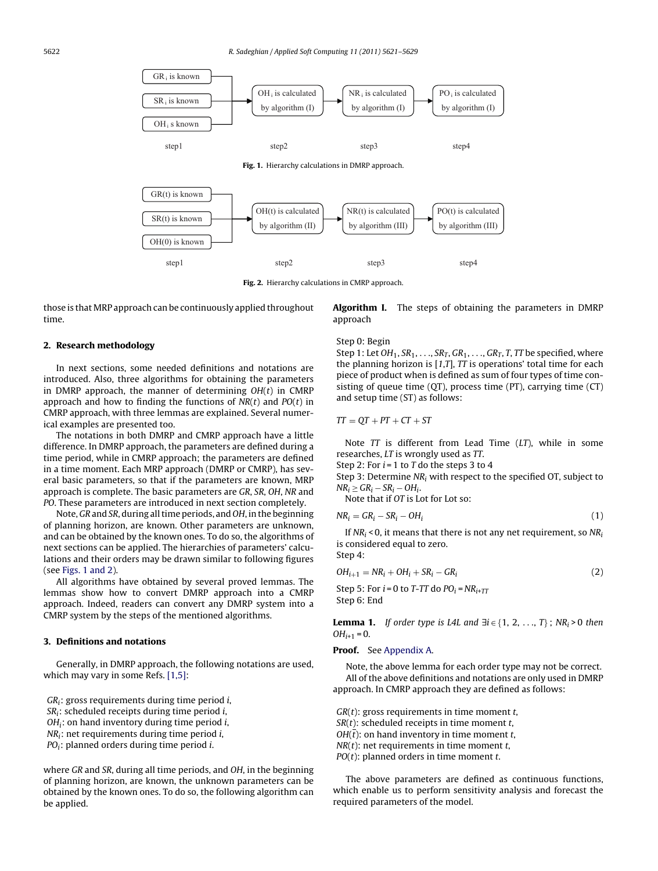

**Fig. 2.** Hierarchy calculations in CMRP approach.

step1 step2 step3 step4 step4 step4 step4 step4 step4 step4 step4 step4 step4 step4 step4 step4 step4 step4 step4 step4 step4 step4 step4 step4 step4 step4 step4 step4 step4 step4 step4 step4 step4 step4 step4 step4 step4

those is that MRP approach can be continuously applied throughout time.

#### **2. Research methodology**

In next sections, some needed definitions and notations are introduced. Also, three algorithms for obtaining the parameters in DMRP approach, the manner of determining  $OH(t)$  in CMRP approach and how to finding the functions of  $NR(t)$  and  $PO(t)$  in CMRP approach, with three lemmas are explained. Several numerical examples are presented too.

The notations in both DMRP and CMRP approach have a little difference. In DMRP approach, the parameters are defined during a time period, while in CMRP approach; the parameters are defined in a time moment. Each MRP approach (DMRP or CMRP), has several basic parameters, so that if the parameters are known, MRP approach is complete. The basic parameters are GR, SR, OH, NR and PO. These parameters are introduced in next section completely.

Note, GR and SR, during all time periods, and OH, in the beginning of planning horizon, are known. Other parameters are unknown, and can be obtained by the known ones. To do so, the algorithms of next sections can be applied. The hierarchies of parameters' calculations and their orders may be drawn similar to following figures (see Figs. 1 and 2).

All algorithms have obtained by several proved lemmas. The lemmas show how to convert DMRP approach into a CMRP approach. Indeed, readers can convert any DMRP system into a CMRP system by the steps of the mentioned algorithms.

#### **3. Definitions and notations**

Generally, in DMRP approach, the following notations are used, which may vary in some Refs. [\[1,5\]:](#page--1-0)

 $GR_i$ : gross requirements during time period *i*,

 $SR_i$ : scheduled receipts during time period *i*,

 $OH<sub>i</sub>$ : on hand inventory during time period *i*,

 $NR_i$ : net requirements during time period *i*,

 $PO_i$ : planned orders during time period *i*.

where GR and SR, during all time periods, and OH, in the beginning of planning horizon, are known, the unknown parameters can be obtained by the known ones. To do so, the following algorithm can be applied.

**Algorithm I.** The steps of obtaining the parameters in DMRP approach

#### Step 0: Begin

Step 1: Let  $OH_1$ ,  $SR_1$ , ...,  $SR_T$ ,  $GR_1$ , ...,  $GR_T$ , T, TT be specified, where the planning horizon is  $[1,T]$ , TT is operations' total time for each piece of product when is defined as sum of four types of time consisting of queue time (QT), process time (PT), carrying time (CT) and setup time (ST) as follows:

$$
TT = QT + PT + CT + ST
$$

Note TT is different from Lead Time (LT), while in some researches, LT is wrongly used as TT.

Step 2: For  $i = 1$  to T do the steps 3 to 4

Step 3: Determine NR<sub>i</sub> with respect to the specified OT, subject to  $NR_i \geq GR_i - SR_i - OH_i$ .

Note that if OT is Lot for Lot so:

$$
NR_i = GR_i - SR_i - OH_i \tag{1}
$$

If  $NR_i < 0$ , it means that there is not any net requirement, so  $NR_i$ is considered equal to zero. Step 4:

$$
OH_{i+1} = NR_i + OH_i + SR_i - GR_i
$$
\n<sup>(2)</sup>

Step 5: For  $i = 0$  to T-TT do  $PO_i = NR_{i+TT}$ Step 6: End

**Lemma 1.** If order type is L4L and  $\exists i \in \{1, 2, ..., T\}$ ; NR<sub>i</sub> > 0 then  $OH_{i+1} = 0.$ 

#### **Proof.** See [Appendix](#page--1-0) [A.](#page--1-0)

Note, the above lemma for each order type may not be correct. All of the above definitions and notations are only used in DMRP approach. In CMRP approach they are defined as follows:

 $GR(t)$ : gross requirements in time moment t,  $SR(t)$ : scheduled receipts in time moment t,  $OH(\bar{t})$ : on hand inventory in time moment t,  $NR(t)$ : net requirements in time moment t,

 $PO(t)$ : planned orders in time moment t.

The above parameters are defined as continuous functions, which enable us to perform sensitivity analysis and forecast the required parameters of the model.